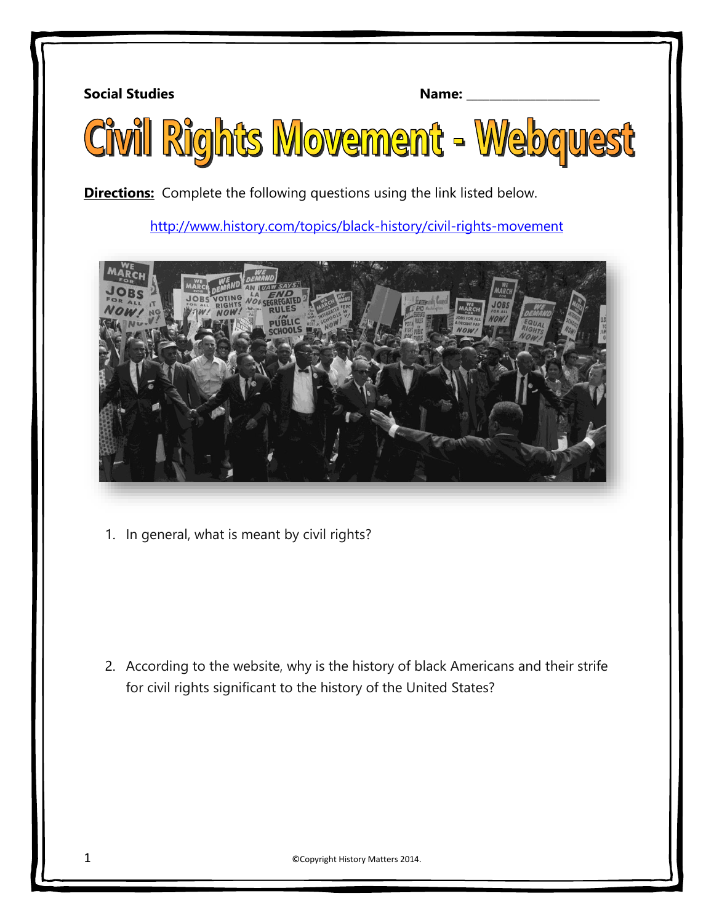**Social Studies Name:** 2008. **Name:** 2008. **Name:** 2008. **Name:** 2008. **Name:** 2008. **Name:** 2008. **Name:** 2008. 2008. **Name:** 2008. 2008. 2008. 2008. 2008. 2008. 2008. 2008. 2008. 2008. 2008. 2008. 2008. 2008. 2008. 200



**Directions:** Complete the following questions using the link listed below.

<http://www.history.com/topics/black-history/civil-rights-movement>



1. In general, what is meant by civil rights?

2. According to the website, why is the history of black Americans and their strife for civil rights significant to the history of the United States?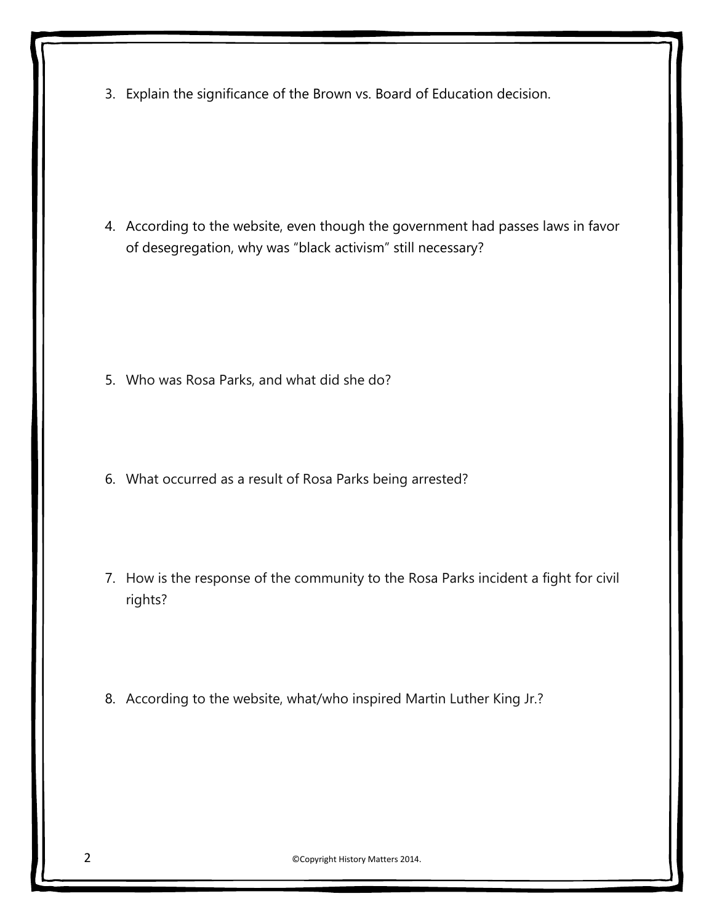3. Explain the significance of the Brown vs. Board of Education decision.

4. According to the website, even though the government had passes laws in favor of desegregation, why was "black activism" still necessary?

- 5. Who was Rosa Parks, and what did she do?
- 6. What occurred as a result of Rosa Parks being arrested?
- 7. How is the response of the community to the Rosa Parks incident a fight for civil rights?
- 8. According to the website, what/who inspired Martin Luther King Jr.?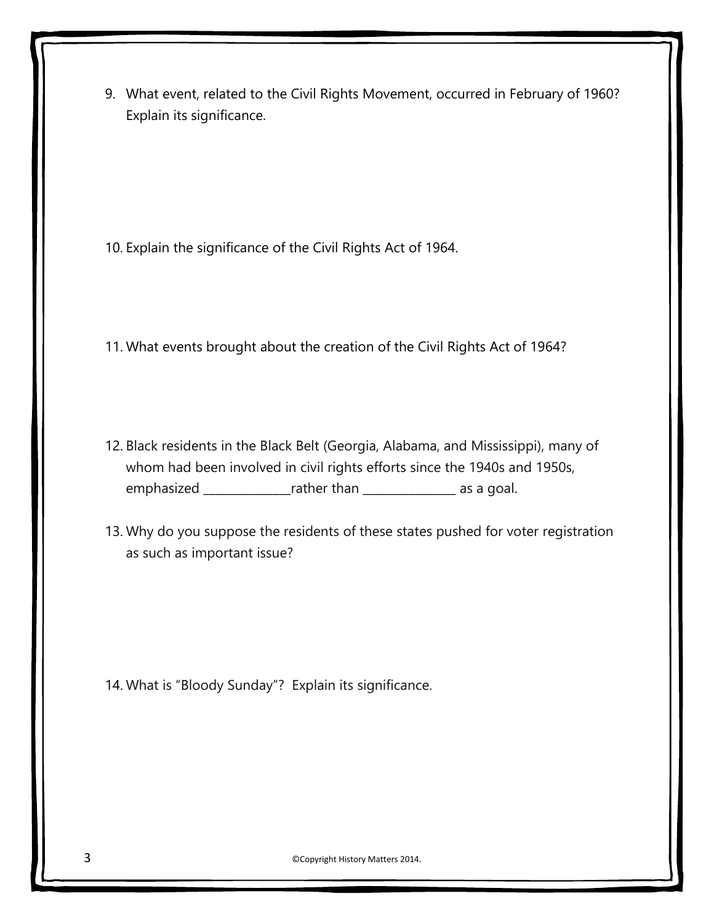9. What event, related to the Civil Rights Movement, occurred in February of 1960? Explain its significance.

10. Explain the significance of the Civil Rights Act of 1964.

- 11. What events brought about the creation of the Civil Rights Act of 1964?
- 12. Black residents in the Black Belt (Georgia, Alabama, and Mississippi), many of whom had been involved in civil rights efforts since the 1940s and 1950s, emphasized \_\_\_\_\_\_\_\_\_\_\_\_\_\_\_rather than \_\_\_\_\_\_\_\_\_\_\_\_\_\_\_\_\_\_ as a goal.
- 13. Why do you suppose the residents of these states pushed for voter registration as such as important issue?

14. What is "Bloody Sunday"? Explain its significance.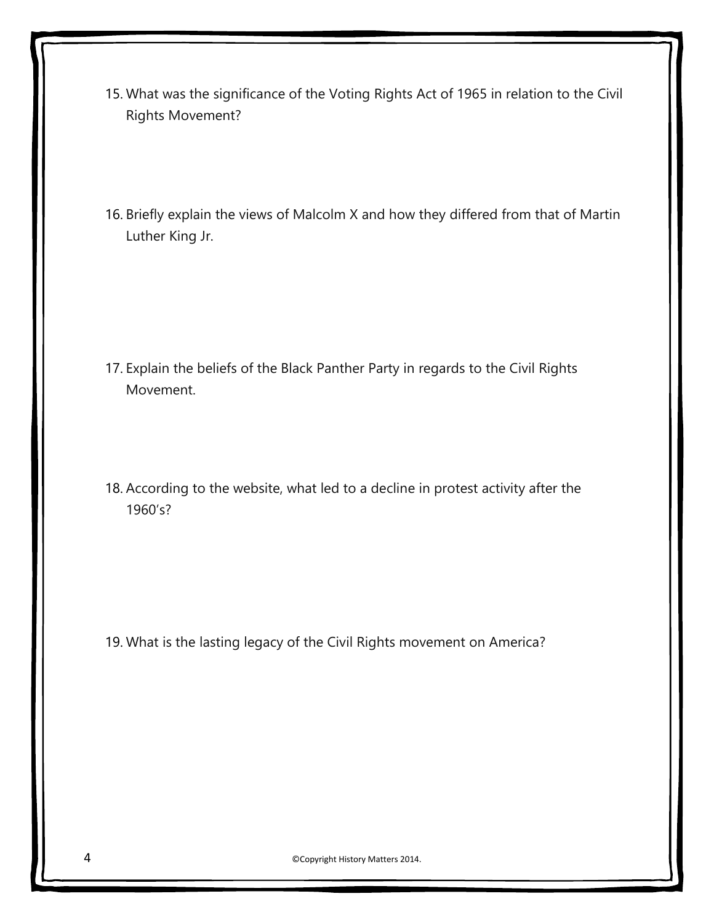- 15. What was the significance of the Voting Rights Act of 1965 in relation to the Civil Rights Movement?
- 16. Briefly explain the views of Malcolm X and how they differed from that of Martin Luther King Jr.

- 17. Explain the beliefs of the Black Panther Party in regards to the Civil Rights Movement.
- 18. According to the website, what led to a decline in protest activity after the 1960's?

19. What is the lasting legacy of the Civil Rights movement on America?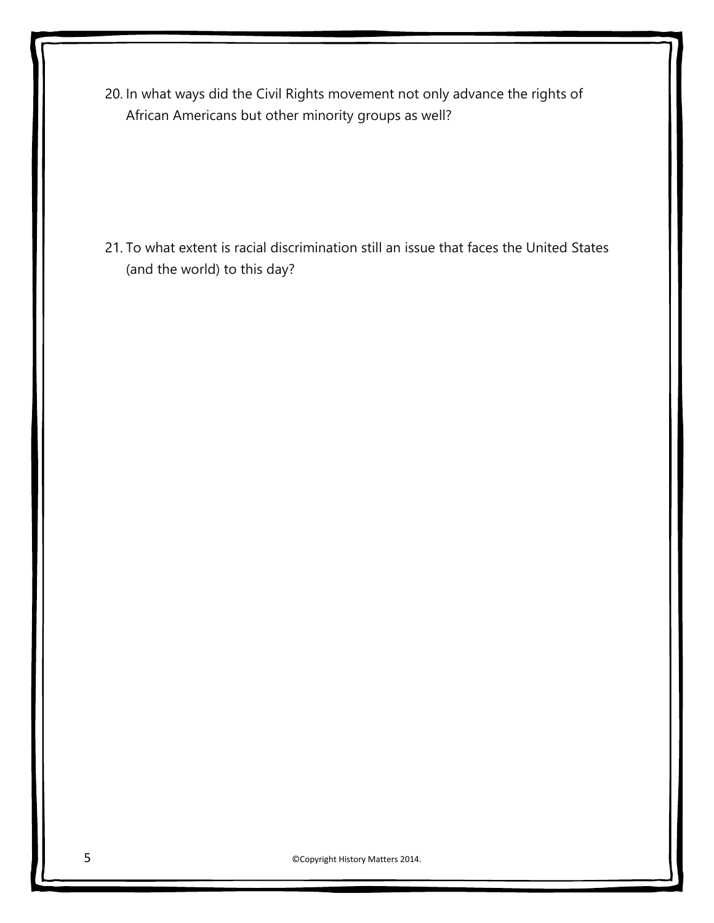20. In what ways did the Civil Rights movement not only advance the rights of African Americans but other minority groups as well?

21. To what extent is racial discrimination still an issue that faces the United States (and the world) to this day?

5 ©Copyright History Matters 2014.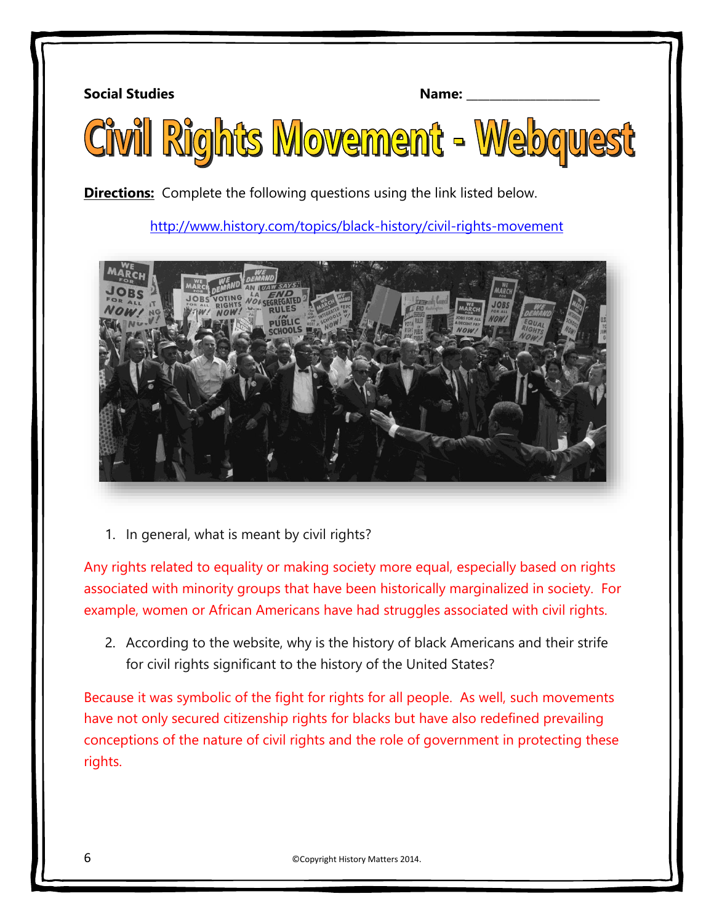**Social Studies Name:** 2008. **Name:** 2008. **Name:** 2008. **Name:** 2008. **Name:** 2008. **Name:** 2008. **Name:** 2008. **Name:** 2008. **Name:** 2008. **Name:** 2008. **Name:** 2008. **Name:** 2008. **Name:** 2008. **Name:** 2008. **Name:** 2



**Directions:** Complete the following questions using the link listed below.

<http://www.history.com/topics/black-history/civil-rights-movement>



1. In general, what is meant by civil rights?

Any rights related to equality or making society more equal, especially based on rights associated with minority groups that have been historically marginalized in society. For example, women or African Americans have had struggles associated with civil rights.

2. According to the website, why is the history of black Americans and their strife for civil rights significant to the history of the United States?

Because it was symbolic of the fight for rights for all people. As well, such movements have not only secured citizenship rights for blacks but have also redefined prevailing conceptions of the nature of civil rights and the role of government in protecting these rights.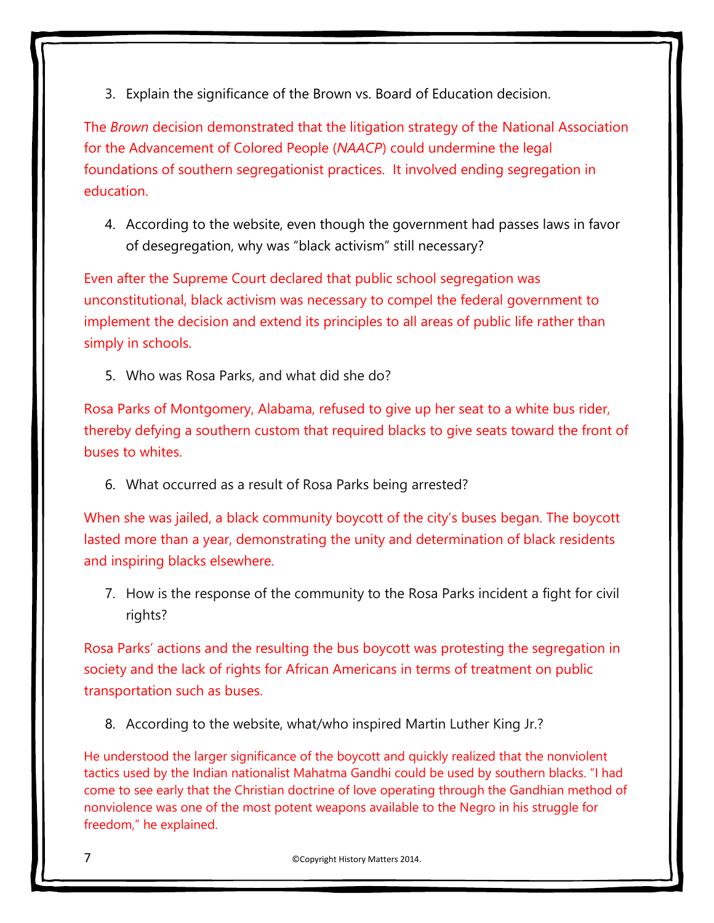3. Explain the significance of the Brown vs. Board of Education decision.

The *Brown* decision demonstrated that the litigation strategy of the National Association for the Advancement of Colored People (*NAACP*) could undermine the legal foundations of southern segregationist practices. It involved ending segregation in education.

4. According to the website, even though the government had passes laws in favor of desegregation, why was "black activism" still necessary?

Even after the Supreme Court declared that public school segregation was unconstitutional, black activism was necessary to compel the federal government to implement the decision and extend its principles to all areas of public life rather than simply in schools.

5. Who was Rosa Parks, and what did she do?

Rosa Parks of Montgomery, Alabama, refused to give up her seat to a white bus rider, thereby defying a southern custom that required blacks to give seats toward the front of buses to whites.

6. What occurred as a result of Rosa Parks being arrested?

When she was jailed, a black community boycott of the city's buses began. The boycott lasted more than a year, demonstrating the unity and determination of black residents and inspiring blacks elsewhere.

7. How is the response of the community to the Rosa Parks incident a fight for civil rights?

Rosa Parks' actions and the resulting the bus boycott was protesting the segregation in society and the lack of rights for African Americans in terms of treatment on public transportation such as buses.

8. According to the website, what/who inspired Martin Luther King Jr.?

He understood the larger significance of the boycott and quickly realized that the nonviolent tactics used by the Indian nationalist Mahatma Gandhi could be used by southern blacks. "I had come to see early that the Christian doctrine of love operating through the Gandhian method of nonviolence was one of the most potent weapons available to the Negro in his struggle for freedom," he explained.

7 ©Copyright History Matters 2014.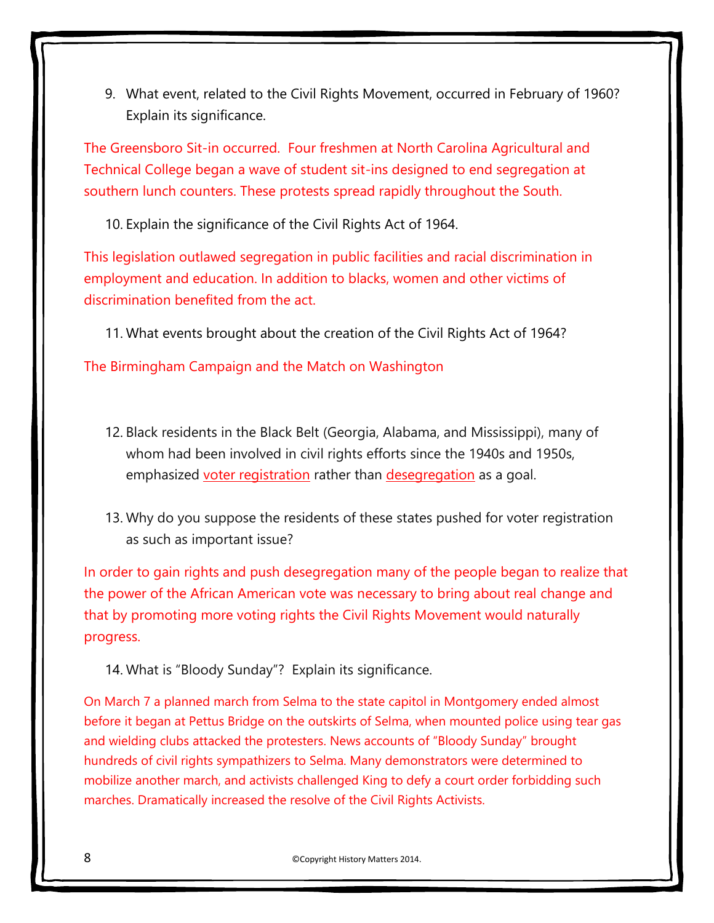9. What event, related to the Civil Rights Movement, occurred in February of 1960? Explain its significance.

The Greensboro Sit-in occurred. Four freshmen at North Carolina Agricultural and Technical College began a wave of student sit-ins designed to end segregation at southern lunch counters. These protests spread rapidly throughout the South.

10. Explain the significance of the Civil Rights Act of 1964.

This legislation outlawed segregation in public facilities and racial discrimination in employment and education. In addition to blacks, women and other victims of discrimination benefited from the act.

11. What events brought about the creation of the Civil Rights Act of 1964?

The Birmingham Campaign and the Match on Washington

- 12. Black residents in the Black Belt (Georgia, Alabama, and Mississippi), many of whom had been involved in civil rights efforts since the 1940s and 1950s, emphasized voter registration rather than desegregation as a goal.
- 13. Why do you suppose the residents of these states pushed for voter registration as such as important issue?

In order to gain rights and push desegregation many of the people began to realize that the power of the African American vote was necessary to bring about real change and that by promoting more voting rights the Civil Rights Movement would naturally progress.

14. What is "Bloody Sunday"? Explain its significance.

On March 7 a planned march from Selma to the state capitol in Montgomery ended almost before it began at Pettus Bridge on the outskirts of Selma, when mounted police using tear gas and wielding clubs attacked the protesters. News accounts of "Bloody Sunday" brought hundreds of civil rights sympathizers to Selma. Many demonstrators were determined to mobilize another march, and activists challenged King to defy a court order forbidding such marches. Dramatically increased the resolve of the Civil Rights Activists.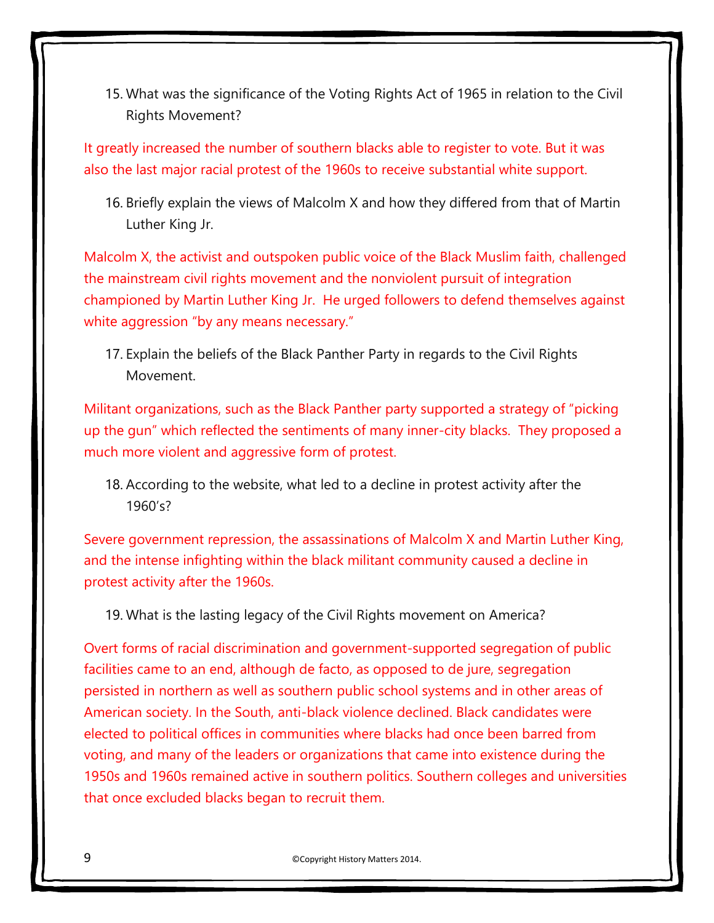15. What was the significance of the Voting Rights Act of 1965 in relation to the Civil Rights Movement?

It greatly increased the number of southern blacks able to register to vote. But it was also the last major racial protest of the 1960s to receive substantial white support.

16. Briefly explain the views of Malcolm X and how they differed from that of Martin Luther King Jr.

Malcolm X, the activist and outspoken public voice of the Black Muslim faith, challenged the mainstream civil rights movement and the nonviolent pursuit of integration championed by Martin Luther King Jr. He urged followers to defend themselves against white aggression "by any means necessary."

17. Explain the beliefs of the Black Panther Party in regards to the Civil Rights Movement.

Militant organizations, such as the Black Panther party supported a strategy of "picking up the gun" which reflected the sentiments of many inner-city blacks. They proposed a much more violent and aggressive form of protest.

18. According to the website, what led to a decline in protest activity after the 1960's?

Severe government repression, the assassinations of Malcolm X and Martin Luther King, and the intense infighting within the black militant community caused a decline in protest activity after the 1960s.

19. What is the lasting legacy of the Civil Rights movement on America?

Overt forms of racial discrimination and government-supported segregation of public facilities came to an end, although de facto, as opposed to de jure, segregation persisted in northern as well as southern public school systems and in other areas of American society. In the South, anti-black violence declined. Black candidates were elected to political offices in communities where blacks had once been barred from voting, and many of the leaders or organizations that came into existence during the 1950s and 1960s remained active in southern politics. Southern colleges and universities that once excluded blacks began to recruit them.